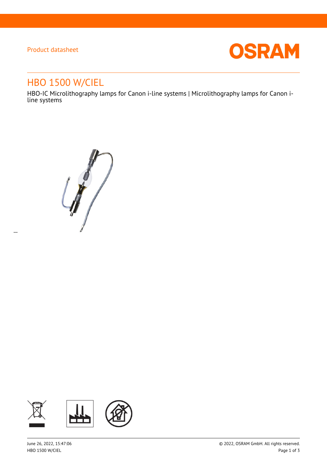### Product datasheet

 $\overline{a}$ 



# HBO 1500 W/CIEL

HBO-IC Microlithography lamps for Canon i-line systems | Microlithography lamps for Canon iline systems

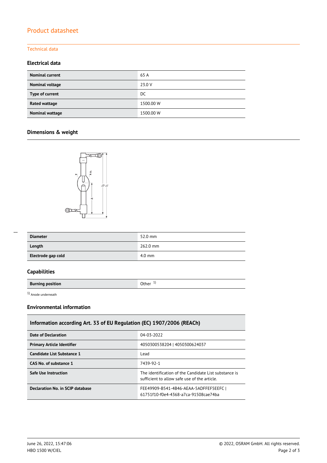# Product datasheet

### Technical data

#### **Electrical data**

| <b>Nominal current</b> | 65 A      |
|------------------------|-----------|
| Nominal voltage        | 23.0 V    |
| Type of current        | DC        |
| Rated wattage          | 1500.00 W |
| <b>Nominal wattage</b> | 1500.00 W |

## **Dimensions & weight**



| <b>Diameter</b>    | 52.0 mm          |
|--------------------|------------------|
| Length             | 262.0 mm         |
| Electrode gap cold | $4.0 \text{ mm}$ |

### **Capabilities**

**Burning position Burning position** 

1) Anode underneath

#### **Environmental information**

| Information according Art. 33 of EU Regulation (EC) 1907/2006 (REACh) |                                                                                                       |  |  |
|-----------------------------------------------------------------------|-------------------------------------------------------------------------------------------------------|--|--|
| Date of Declaration                                                   | 04-03-2022                                                                                            |  |  |
| <b>Primary Article Identifier</b>                                     | 4050300538204   4050300624037                                                                         |  |  |
| Candidate List Substance 1                                            | Lead                                                                                                  |  |  |
| CAS No. of substance 1                                                | 7439-92-1                                                                                             |  |  |
| <b>Safe Use Instruction</b>                                           | The identification of the Candidate List substance is<br>sufficient to allow safe use of the article. |  |  |
| Declaration No. in SCIP database                                      | FEE49909-B541-4B46-AEAA-5ADFFEF5EEFC  <br>61751f10-f0e4-4368-a7ca-91508cae74ba                        |  |  |